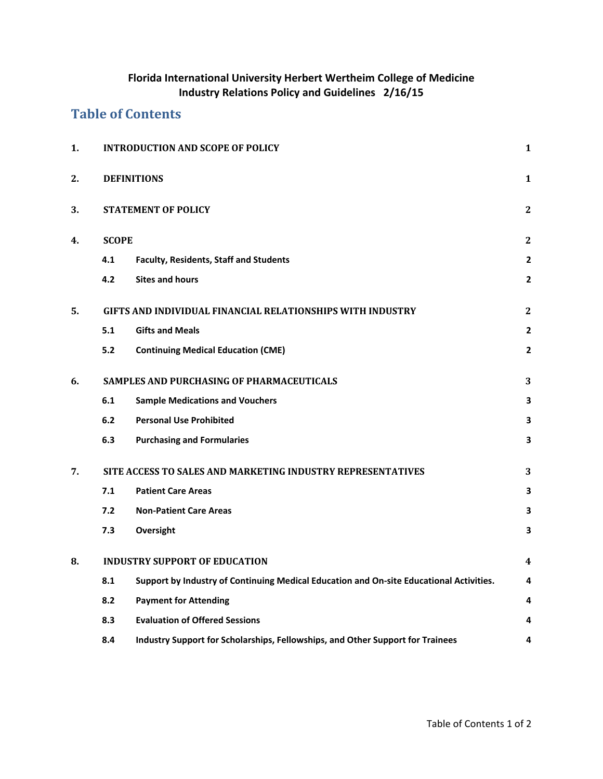# **Florida International University Herbert Wertheim College of Medicine Industry Relations Policy and Guidelines 2/16/15**

# **Table of Contents**

| 1. | <b>INTRODUCTION AND SCOPE OF POLICY</b>                     |                                                                                         |                         |
|----|-------------------------------------------------------------|-----------------------------------------------------------------------------------------|-------------------------|
| 2. | <b>DEFINITIONS</b>                                          |                                                                                         |                         |
| 3. | <b>STATEMENT OF POLICY</b>                                  |                                                                                         |                         |
| 4. | <b>SCOPE</b>                                                |                                                                                         |                         |
|    | 4.1                                                         | Faculty, Residents, Staff and Students                                                  | $\overline{2}$          |
|    | 4.2                                                         | <b>Sites and hours</b>                                                                  | $\overline{2}$          |
| 5. | GIFTS AND INDIVIDUAL FINANCIAL RELATIONSHIPS WITH INDUSTRY  |                                                                                         |                         |
|    | 5.1                                                         | <b>Gifts and Meals</b>                                                                  | $\overline{\mathbf{2}}$ |
|    | 5.2                                                         | <b>Continuing Medical Education (CME)</b>                                               | $\overline{2}$          |
| 6. | SAMPLES AND PURCHASING OF PHARMACEUTICALS                   |                                                                                         |                         |
|    | 6.1                                                         | <b>Sample Medications and Vouchers</b>                                                  | 3                       |
|    | 6.2                                                         | <b>Personal Use Prohibited</b>                                                          | 3                       |
|    | 6.3                                                         | <b>Purchasing and Formularies</b>                                                       | 3                       |
| 7. | SITE ACCESS TO SALES AND MARKETING INDUSTRY REPRESENTATIVES |                                                                                         |                         |
|    | 7.1                                                         | <b>Patient Care Areas</b>                                                               | 3                       |
|    | 7.2                                                         | <b>Non-Patient Care Areas</b>                                                           | 3                       |
|    | 7.3                                                         | Oversight                                                                               | 3                       |
| 8. | <b>INDUSTRY SUPPORT OF EDUCATION</b>                        |                                                                                         |                         |
|    | 8.1                                                         | Support by Industry of Continuing Medical Education and On-site Educational Activities. | 4                       |
|    | 8.2                                                         | <b>Payment for Attending</b>                                                            | 4                       |
|    | 8.3                                                         | <b>Evaluation of Offered Sessions</b>                                                   | 4                       |
|    | 8.4                                                         | Industry Support for Scholarships, Fellowships, and Other Support for Trainees          | 4                       |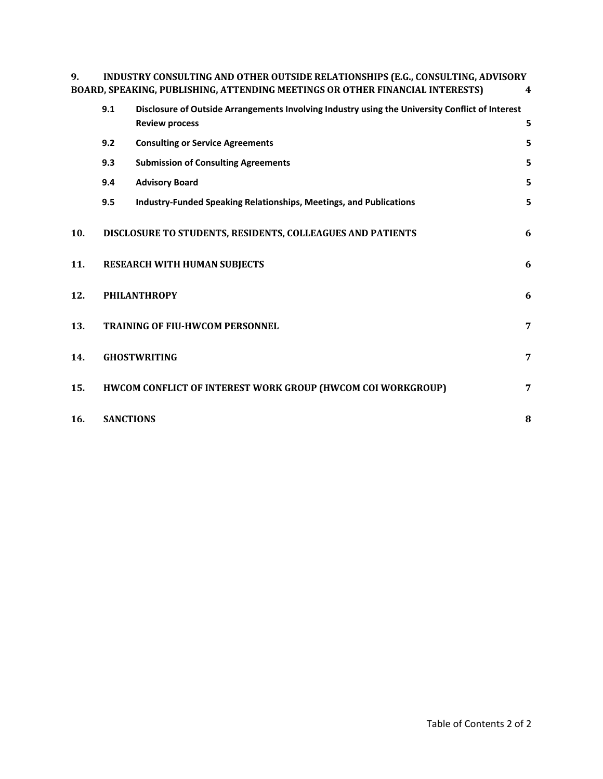| INDUSTRY CONSULTING AND OTHER OUTSIDE RELATIONSHIPS (E.G., CONSULTING, ADVISORY |  |
|---------------------------------------------------------------------------------|--|
| BOARD, SPEAKING, PUBLISHING, ATTENDING MEETINGS OR OTHER FINANCIAL INTERESTS)   |  |

|     | 9.1                 | Disclosure of Outside Arrangements Involving Industry using the University Conflict of Interest                                                                                                                                                     |   |  |
|-----|---------------------|-----------------------------------------------------------------------------------------------------------------------------------------------------------------------------------------------------------------------------------------------------|---|--|
|     |                     | <b>Review process</b>                                                                                                                                                                                                                               | 5 |  |
|     | 9.2                 | <b>Consulting or Service Agreements</b>                                                                                                                                                                                                             | 5 |  |
|     | 9.3                 | <b>Submission of Consulting Agreements</b>                                                                                                                                                                                                          | 5 |  |
|     | 9.4                 | <b>Advisory Board</b>                                                                                                                                                                                                                               | 5 |  |
|     | 9.5                 | <b>Industry-Funded Speaking Relationships, Meetings, and Publications</b>                                                                                                                                                                           | 5 |  |
| 10. |                     |                                                                                                                                                                                                                                                     | 6 |  |
| 11. |                     |                                                                                                                                                                                                                                                     | 6 |  |
| 12. | <b>PHILANTHROPY</b> |                                                                                                                                                                                                                                                     | 6 |  |
| 13. |                     | DISCLOSURE TO STUDENTS, RESIDENTS, COLLEAGUES AND PATIENTS<br>RESEARCH WITH HUMAN SUBJECTS<br><b>TRAINING OF FIU-HWCOM PERSONNEL</b><br>7<br><b>GHOSTWRITING</b><br>HWCOM CONFLICT OF INTEREST WORK GROUP (HWCOM COI WORKGROUP)<br><b>SANCTIONS</b> |   |  |
| 14. |                     |                                                                                                                                                                                                                                                     | 7 |  |
| 15. |                     |                                                                                                                                                                                                                                                     | 7 |  |
| 16. |                     |                                                                                                                                                                                                                                                     | 8 |  |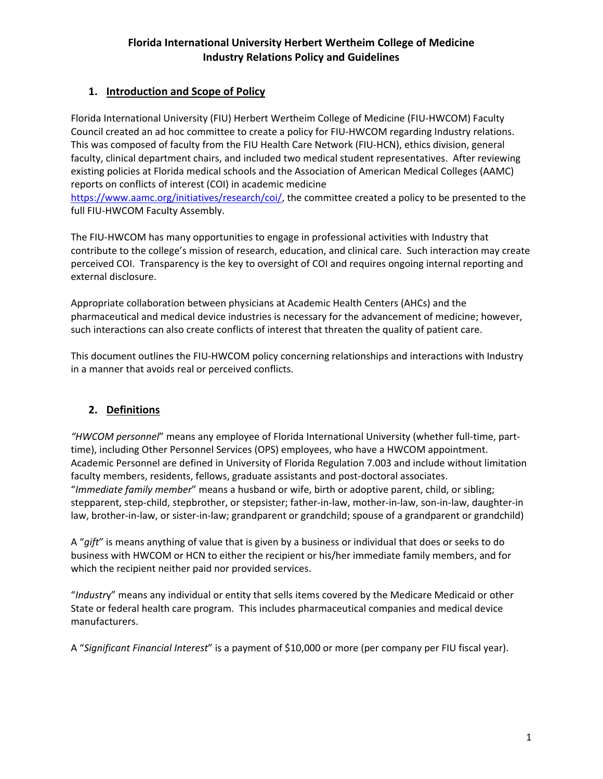# **Florida International University Herbert Wertheim College of Medicine Industry Relations Policy and Guidelines**

# **1. Introduction and Scope of Policy**

Florida International University (FIU) Herbert Wertheim College of Medicine (FIU‐HWCOM) Faculty Council created an ad hoc committee to create a policy for FIU‐HWCOM regarding Industry relations. This was composed of faculty from the FIU Health Care Network (FIU‐HCN), ethics division, general faculty, clinical department chairs, and included two medical student representatives. After reviewing existing policies at Florida medical schools and the Association of American Medical Colleges (AAMC) reports on conflicts of interest (COI) in academic medicine

https://www.aamc.org/initiatives/research/coi/, the committee created a policy to be presented to the full FIU‐HWCOM Faculty Assembly.

The FIU‐HWCOM has many opportunities to engage in professional activities with Industry that contribute to the college's mission of research, education, and clinical care. Such interaction may create perceived COI. Transparency is the key to oversight of COI and requires ongoing internal reporting and external disclosure.

Appropriate collaboration between physicians at Academic Health Centers (AHCs) and the pharmaceutical and medical device industries is necessary for the advancement of medicine; however, such interactions can also create conflicts of interest that threaten the quality of patient care.

This document outlines the FIU-HWCOM policy concerning relationships and interactions with Industry in a manner that avoids real or perceived conflicts.

### **2. Definitions**

*"HWCOM personnel*" means any employee of Florida International University (whether full‐time, part‐ time), including Other Personnel Services (OPS) employees, who have a HWCOM appointment. Academic Personnel are defined in University of Florida Regulation 7.003 and include without limitation faculty members, residents, fellows, graduate assistants and post-doctoral associates. "*Immediate family member*" means a husband or wife, birth or adoptive parent, child, or sibling; stepparent, step‐child, stepbrother, or stepsister; father‐in‐law, mother‐in‐law, son‐in‐law, daughter‐in law, brother‐in‐law, or sister‐in‐law; grandparent or grandchild; spouse of a grandparent or grandchild)

A "*gift*" is means anything of value that is given by a business or individual that does or seeks to do business with HWCOM or HCN to either the recipient or his/her immediate family members, and for which the recipient neither paid nor provided services.

"*Industr*y" means any individual or entity that sells items covered by the Medicare Medicaid or other State or federal health care program. This includes pharmaceutical companies and medical device manufacturers.

A "*Significant Financial Interest*" is a payment of \$10,000 or more (per company per FIU fiscal year).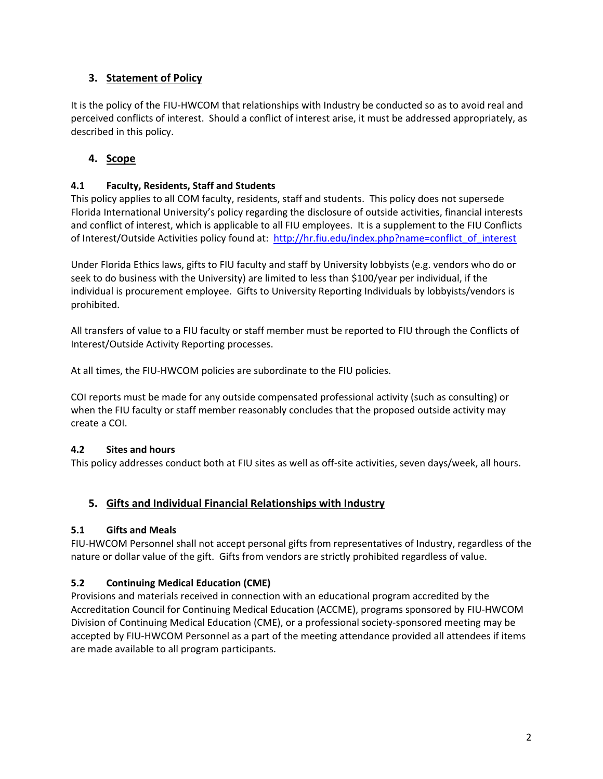# **3. Statement of Policy**

It is the policy of the FIU‐HWCOM that relationships with Industry be conducted so as to avoid real and perceived conflicts of interest. Should a conflict of interest arise, it must be addressed appropriately, as described in this policy.

## **4. Scope**

### **4.1 Faculty, Residents, Staff and Students**

This policy applies to all COM faculty, residents, staff and students. This policy does not supersede Florida International University's policy regarding the disclosure of outside activities, financial interests and conflict of interest, which is applicable to all FIU employees. It is a supplement to the FIU Conflicts of Interest/Outside Activities policy found at: http://hr.fiu.edu/index.php?name=conflict\_of\_interest

Under Florida Ethics laws, gifts to FIU faculty and staff by University lobbyists (e.g. vendors who do or seek to do business with the University) are limited to less than \$100/year per individual, if the individual is procurement employee. Gifts to University Reporting Individuals by lobbyists/vendors is prohibited.

All transfers of value to a FIU faculty or staff member must be reported to FIU through the Conflicts of Interest/Outside Activity Reporting processes.

At all times, the FIU‐HWCOM policies are subordinate to the FIU policies.

COI reports must be made for any outside compensated professional activity (such as consulting) or when the FIU faculty or staff member reasonably concludes that the proposed outside activity may create a COI.

#### **4.2 Sites and hours**

This policy addresses conduct both at FIU sites as well as off‐site activities, seven days/week, all hours.

### **5. Gifts and Individual Financial Relationships with Industry**

#### **5.1 Gifts and Meals**

FIU‐HWCOM Personnel shall not accept personal gifts from representatives of Industry, regardless of the nature or dollar value of the gift. Gifts from vendors are strictly prohibited regardless of value.

#### **5.2 Continuing Medical Education (CME)**

Provisions and materials received in connection with an educational program accredited by the Accreditation Council for Continuing Medical Education (ACCME), programs sponsored by FIU‐HWCOM Division of Continuing Medical Education (CME), or a professional society‐sponsored meeting may be accepted by FIU‐HWCOM Personnel as a part of the meeting attendance provided all attendees if items are made available to all program participants.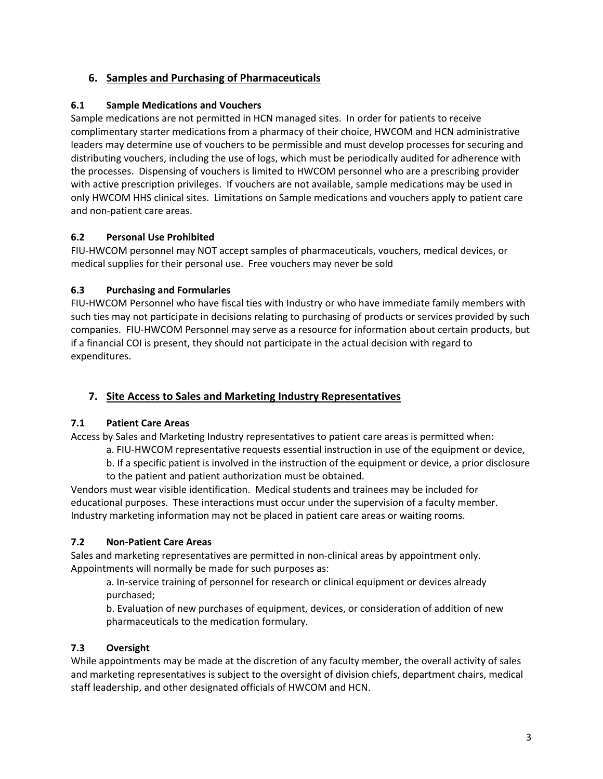# **6. Samples and Purchasing of Pharmaceuticals**

#### **6.1 Sample Medications and Vouchers**

Sample medications are not permitted in HCN managed sites. In order for patients to receive complimentary starter medications from a pharmacy of their choice, HWCOM and HCN administrative leaders may determine use of vouchers to be permissible and must develop processes for securing and distributing vouchers, including the use of logs, which must be periodically audited for adherence with the processes. Dispensing of vouchers is limited to HWCOM personnel who are a prescribing provider with active prescription privileges. If vouchers are not available, sample medications may be used in only HWCOM HHS clinical sites. Limitations on Sample medications and vouchers apply to patient care and non‐patient care areas.

#### **6.2 Personal Use Prohibited**

FIU‐HWCOM personnel may NOT accept samples of pharmaceuticals, vouchers, medical devices, or medical supplies for their personal use. Free vouchers may never be sold

#### **6.3 Purchasing and Formularies**

FIU‐HWCOM Personnel who have fiscal ties with Industry or who have immediate family members with such ties may not participate in decisions relating to purchasing of products or services provided by such companies. FIU‐HWCOM Personnel may serve as a resource for information about certain products, but if a financial COI is present, they should not participate in the actual decision with regard to expenditures.

## **7. Site Access to Sales and Marketing Industry Representatives**

### **7.1 Patient Care Areas**

Access by Sales and Marketing Industry representatives to patient care areas is permitted when:

- a. FIU‐HWCOM representative requests essential instruction in use of the equipment or device,
- b. If a specific patient is involved in the instruction of the equipment or device, a prior disclosure
- to the patient and patient authorization must be obtained.

Vendors must wear visible identification. Medical students and trainees may be included for educational purposes. These interactions must occur under the supervision of a faculty member. Industry marketing information may not be placed in patient care areas or waiting rooms.

### **7.2 Non‐Patient Care Areas**

Sales and marketing representatives are permitted in non‐clinical areas by appointment only. Appointments will normally be made for such purposes as:

a. In‐service training of personnel for research or clinical equipment or devices already purchased;

b. Evaluation of new purchases of equipment, devices, or consideration of addition of new pharmaceuticals to the medication formulary.

### **7.3 Oversight**

While appointments may be made at the discretion of any faculty member, the overall activity of sales and marketing representatives is subject to the oversight of division chiefs, department chairs, medical staff leadership, and other designated officials of HWCOM and HCN.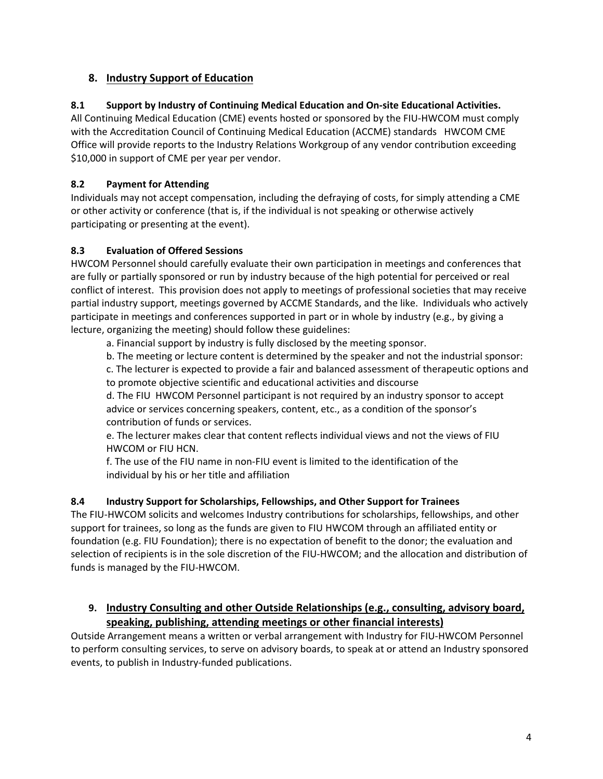### **8. Industry Support of Education**

### **8.1 Support by Industry of Continuing Medical Education and On‐site Educational Activities.**

All Continuing Medical Education (CME) events hosted or sponsored by the FIU‐HWCOM must comply with the Accreditation Council of Continuing Medical Education (ACCME) standards HWCOM CME Office will provide reports to the Industry Relations Workgroup of any vendor contribution exceeding \$10,000 in support of CME per year per vendor.

### **8.2 Payment for Attending**

Individuals may not accept compensation, including the defraying of costs, for simply attending a CME or other activity or conference (that is, if the individual is not speaking or otherwise actively participating or presenting at the event).

#### **8.3 Evaluation of Offered Sessions**

HWCOM Personnel should carefully evaluate their own participation in meetings and conferences that are fully or partially sponsored or run by industry because of the high potential for perceived or real conflict of interest. This provision does not apply to meetings of professional societies that may receive partial industry support, meetings governed by ACCME Standards, and the like. Individuals who actively participate in meetings and conferences supported in part or in whole by industry (e.g., by giving a lecture, organizing the meeting) should follow these guidelines:

a. Financial support by industry is fully disclosed by the meeting sponsor.

b. The meeting or lecture content is determined by the speaker and not the industrial sponsor:

c. The lecturer is expected to provide a fair and balanced assessment of therapeutic options and to promote objective scientific and educational activities and discourse

d. The FIU HWCOM Personnel participant is not required by an industry sponsor to accept advice or services concerning speakers, content, etc., as a condition of the sponsor's contribution of funds or services.

e. The lecturer makes clear that content reflects individual views and not the views of FIU HWCOM or FIU HCN.

f. The use of the FIU name in non‐FIU event is limited to the identification of the individual by his or her title and affiliation

#### **8.4 Industry Support for Scholarships, Fellowships, and Other Support for Trainees**

The FIU‐HWCOM solicits and welcomes Industry contributions for scholarships, fellowships, and other support for trainees, so long as the funds are given to FIU HWCOM through an affiliated entity or foundation (e.g. FIU Foundation); there is no expectation of benefit to the donor; the evaluation and selection of recipients is in the sole discretion of the FIU-HWCOM; and the allocation and distribution of funds is managed by the FIU‐HWCOM.

### **9. Industry Consulting and other Outside Relationships (e.g., consulting, advisory board, speaking, publishing, attending meetings or other financial interests)**

Outside Arrangement means a written or verbal arrangement with Industry for FIU‐HWCOM Personnel to perform consulting services, to serve on advisory boards, to speak at or attend an Industry sponsored events, to publish in Industry‐funded publications.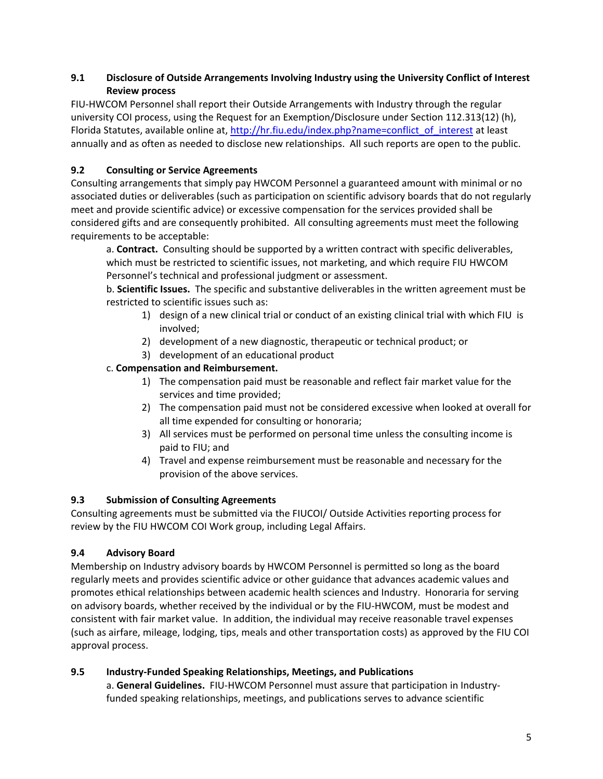#### **9.1 Disclosure of Outside Arrangements Involving Industry using the University Conflict of Interest Review process**

FIU‐HWCOM Personnel shall report their Outside Arrangements with Industry through the regular university COI process, using the Request for an Exemption/Disclosure under Section 112.313(12) (h), Florida Statutes, available online at, http://hr.fiu.edu/index.php?name=conflict\_of\_interest at least annually and as often as needed to disclose new relationships. All such reports are open to the public.

### **9.2 Consulting or Service Agreements**

Consulting arrangements that simply pay HWCOM Personnel a guaranteed amount with minimal or no associated duties or deliverables (such as participation on scientific advisory boards that do not regularly meet and provide scientific advice) or excessive compensation for the services provided shall be considered gifts and are consequently prohibited. All consulting agreements must meet the following requirements to be acceptable:

a. **Contract.** Consulting should be supported by a written contract with specific deliverables, which must be restricted to scientific issues, not marketing, and which require FIU HWCOM Personnel's technical and professional judgment or assessment.

b. **Scientific Issues.** The specific and substantive deliverables in the written agreement must be restricted to scientific issues such as:

- 1) design of a new clinical trial or conduct of an existing clinical trial with which FIU is involved;
- 2) development of a new diagnostic, therapeutic or technical product; or
- 3) development of an educational product

#### c. **Compensation and Reimbursement.**

- 1) The compensation paid must be reasonable and reflect fair market value for the services and time provided;
- 2) The compensation paid must not be considered excessive when looked at overall for all time expended for consulting or honoraria;
- 3) All services must be performed on personal time unless the consulting income is paid to FIU; and
- 4) Travel and expense reimbursement must be reasonable and necessary for the provision of the above services.

#### **9.3 Submission of Consulting Agreements**

Consulting agreements must be submitted via the FIUCOI/ Outside Activities reporting process for review by the FIU HWCOM COI Work group, including Legal Affairs.

#### **9.4 Advisory Board**

Membership on Industry advisory boards by HWCOM Personnel is permitted so long as the board regularly meets and provides scientific advice or other guidance that advances academic values and promotes ethical relationships between academic health sciences and Industry. Honoraria for serving on advisory boards, whether received by the individual or by the FIU‐HWCOM, must be modest and consistent with fair market value. In addition, the individual may receive reasonable travel expenses (such as airfare, mileage, lodging, tips, meals and other transportation costs) as approved by the FIU COI approval process.

#### **9.5 Industry‐Funded Speaking Relationships, Meetings, and Publications**

a. **General Guidelines.** FIU‐HWCOM Personnel must assure that participation in Industry‐ funded speaking relationships, meetings, and publications serves to advance scientific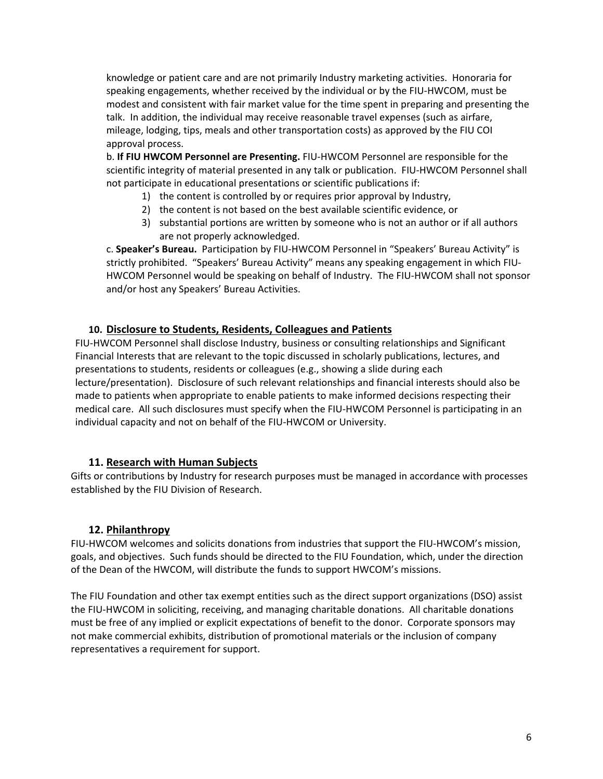knowledge or patient care and are not primarily Industry marketing activities. Honoraria for speaking engagements, whether received by the individual or by the FIU‐HWCOM, must be modest and consistent with fair market value for the time spent in preparing and presenting the talk. In addition, the individual may receive reasonable travel expenses (such as airfare, mileage, lodging, tips, meals and other transportation costs) as approved by the FIU COI approval process.

b. **If FIU HWCOM Personnel are Presenting.** FIU‐HWCOM Personnel are responsible for the scientific integrity of material presented in any talk or publication. FIU‐HWCOM Personnel shall not participate in educational presentations or scientific publications if:

- 1) the content is controlled by or requires prior approval by Industry,
- 2) the content is not based on the best available scientific evidence, or
- 3) substantial portions are written by someone who is not an author or if all authors are not properly acknowledged.

c. **Speaker's Bureau.** Participation by FIU‐HWCOM Personnel in "Speakers' Bureau Activity" is strictly prohibited. "Speakers' Bureau Activity" means any speaking engagement in which FIU‐ HWCOM Personnel would be speaking on behalf of Industry. The FIU-HWCOM shall not sponsor and/or host any Speakers' Bureau Activities.

#### **10. Disclosure to Students, Residents, Colleagues and Patients**

FIU‐HWCOM Personnel shall disclose Industry, business or consulting relationships and Significant Financial Interests that are relevant to the topic discussed in scholarly publications, lectures, and presentations to students, residents or colleagues (e.g., showing a slide during each lecture/presentation). Disclosure of such relevant relationships and financial interests should also be made to patients when appropriate to enable patients to make informed decisions respecting their medical care. All such disclosures must specify when the FIU‐HWCOM Personnel is participating in an individual capacity and not on behalf of the FIU‐HWCOM or University.

#### **11. Research with Human Subjects**

Gifts or contributions by Industry for research purposes must be managed in accordance with processes established by the FIU Division of Research.

#### **12. Philanthropy**

FIU‐HWCOM welcomes and solicits donations from industries that support the FIU‐HWCOM's mission, goals, and objectives. Such funds should be directed to the FIU Foundation, which, under the direction of the Dean of the HWCOM, will distribute the funds to support HWCOM's missions.

The FIU Foundation and other tax exempt entities such as the direct support organizations (DSO) assist the FIU‐HWCOM in soliciting, receiving, and managing charitable donations. All charitable donations must be free of any implied or explicit expectations of benefit to the donor. Corporate sponsors may not make commercial exhibits, distribution of promotional materials or the inclusion of company representatives a requirement for support.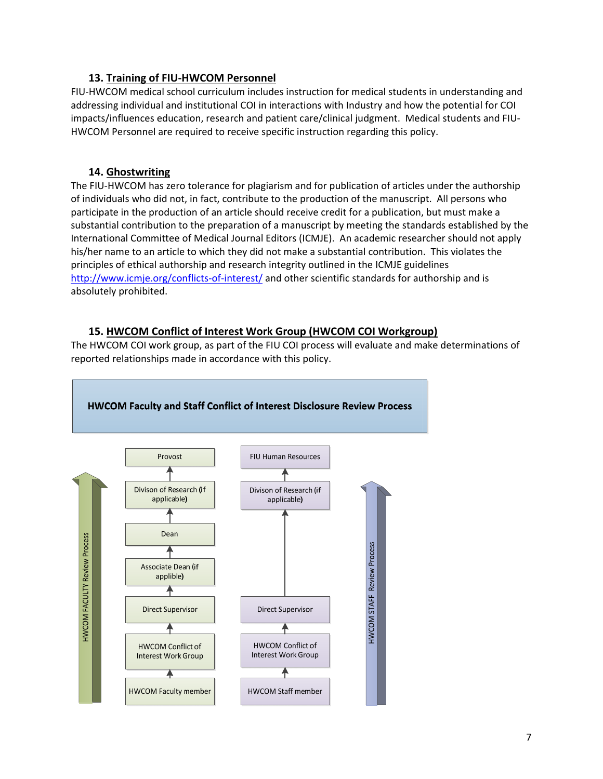#### **13. Training of FIU‐HWCOM Personnel**

FIU-HWCOM medical school curriculum includes instruction for medical students in understanding and addressing individual and institutional COI in interactions with Industry and how the potential for COI impacts/influences education, research and patient care/clinical judgment. Medical students and FIU‐ HWCOM Personnel are required to receive specific instruction regarding this policy.

#### **14. Ghostwriting**

The FIU‐HWCOM has zero tolerance for plagiarism and for publication of articles under the authorship of individuals who did not, in fact, contribute to the production of the manuscript. All persons who participate in the production of an article should receive credit for a publication, but must make a substantial contribution to the preparation of a manuscript by meeting the standards established by the International Committee of Medical Journal Editors (ICMJE). An academic researcher should not apply his/her name to an article to which they did not make a substantial contribution. This violates the principles of ethical authorship and research integrity outlined in the ICMJE guidelines http://www.icmje.org/conflicts-of-interest/ and other scientific standards for authorship and is absolutely prohibited.

### **15. HWCOM Conflict of Interest Work Group (HWCOM COI Workgroup)**

The HWCOM COI work group, as part of the FIU COI process will evaluate and make determinations of reported relationships made in accordance with this policy.